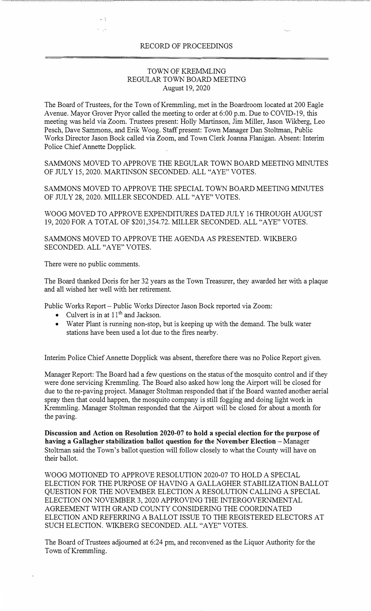## RECORD OF PROCEEDINGS

## TOWN OF KREMMLING REGULAR TOWN BOARD MEETING August 19, 2020

The Board of Trustees, for the Town of Kremmling, met in the Boardroom located at 200 Eagle Avenue. Mayor Grover Pryor called the meeting to order at 6:00 p.m. Due to COVID-19, this meeting was held via Zoom. Trustees present: Holly Martinson, Jim Miller, Jason Wikberg, Leo Pesch, Dave Sammons, and Erik Woog. Staff present: Town Manager Dan Stoltman, Public Works Director Jason Bock called via Zoom, and Town Clerk Joarma Flanigan. Absent: Interim Police Chief Annette Dopplick.

SAMMONS MOVED TO APPROVE THE REGULAR TOWN BOARD MEETING MINUTES OF JULY 15, 2020. MARTINSON SECONDED. ALL "A YE" VOTES.

SAMMONS MOVED TO APPROVE THE SPECIAL TOWN BOARD MEETING MINUTES OF JULY 28, 2020. MILLER SECONDED. ALL "A YE" VOTES.

WOOG MOVED TO APPROVE EXPENDITURES DATED JULY 16 THROUGH AUGUST 19, 2020 FOR A TOTAL OF \$201,354.72. MILLER SECONDED. ALL "A YE" VOTES.

SAMMONS MOVED TO APPROVE THE AGENDA AS PRESENTED. WIKBERG SECONDED. ALL "AYE" VOTES.

There were no public comments.

The Board thanked Doris for her 32 years as the Town Treasurer, they awarded her with a plaque and all wished her well with her retirement.

Public Works Report- Public Works Director Jason Bock reported via Zoom:

- Culvert is in at  $11<sup>th</sup>$  and Jackson.
- Water Plant is running non-stop, but is keeping up with the demand. The bulk water stations have been used a lot due to the fires nearby.

Interim Police Chief Annette Dopplick was absent, therefore there was no Police Report given.

Manager Report: The Board had a few questions on the status of the mosquito control and if they were done servicing Kremmling. The Board also asked how long the Airport will be closed for due to the re-paving project. Manager Stoltman responded that if the Board wanted another aerial spray then that could happen, the mosquito company is still fogging and doing light work in Kremmling. Manager Stoltman responded that the Airport will be closed for about a month for the paving.

**Discussion and Action on Resolution 2020-07 to hold a special election for the purpose of having a Gallagher stabilization ballot question for the November Election – Manager** Stoltman said the Town's ballot question will follow closely to what the County will have on their ballot.

WOOG MOTIONED TO APPROVE RESOLUTION 2020-07 TO HOLD A SPECIAL ELECTION FOR THE PURPOSE OF HAVING A GALLAGHER STABILIZATION BALLOT QUESTION FOR THE NOVEMBER ELECTION A RESOLUTION CALLING A SPECIAL ELECTION ON NOVEMBER 3, 2020 APPROVING THE INTERGOVERNMENTAL AGREEMENT WITH GRAND COUNTY CONSIDERING THE COORDINATED ELECTION AND REFERRING A BALLOT ISSUE TO THE REGISTERED ELECTORS AT SUCH ELECTION. WIKBERG SECONDED. ALL "A YE" VOTES.

The Board of Trustees adjourned at 6:24 pm, and reconvened as the Liquor Authority for the Town of Kremmling.